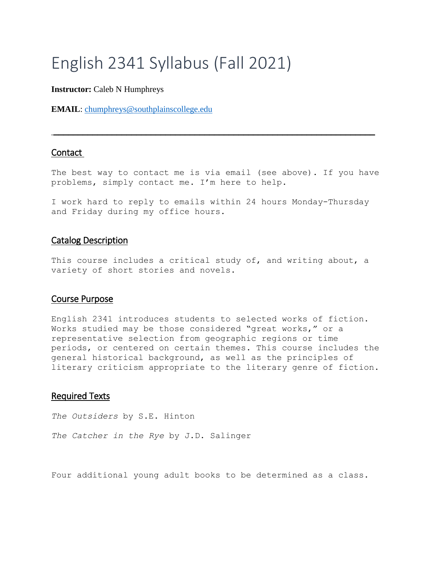# English 2341 Syllabus (Fall 2021)

#### **Instructor:** Caleb N Humphreys

**EMAIL**: [chumphreys@southplainscollege.edu](mailto:chumphreys@southplainscollege.edu)

## Contact

The best way to contact me is via email (see above). If you have problems, simply contact me. I'm here to help.

 $\overline{\phantom{a}}$  , and the contribution of the contribution of the contribution of the contribution of the contribution of the contribution of the contribution of the contribution of the contribution of the contribution of the

I work hard to reply to emails within 24 hours Monday-Thursday and Friday during my office hours.

## Catalog Description

This course includes a critical study of, and writing about, a variety of short stories and novels.

## Course Purpose

English 2341 introduces students to selected works of fiction. Works studied may be those considered "great works," or a representative selection from geographic regions or time periods, or centered on certain themes. This course includes the general historical background, as well as the principles of literary criticism appropriate to the literary genre of fiction.

## Required Texts

*The Outsiders* by S.E. Hinton

*The Catcher in the Rye* by J.D. Salinger

Four additional young adult books to be determined as a class.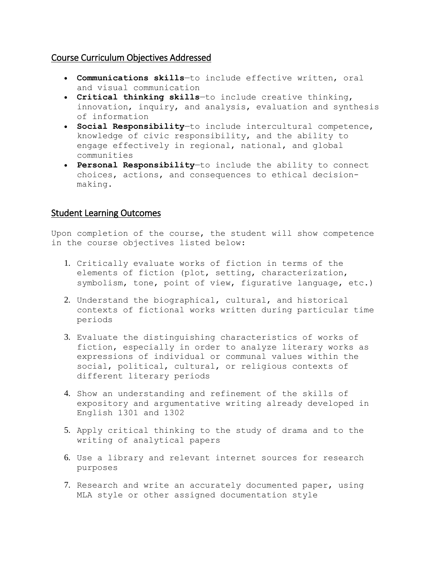## Course Curriculum Objectives Addressed

- **Communications skills**—to include effective written, oral and visual communication
- **Critical thinking skills**—to include creative thinking, innovation, inquiry, and analysis, evaluation and synthesis of information
- **Social Responsibility**—to include intercultural competence, knowledge of civic responsibility, and the ability to engage effectively in regional, national, and global communities
- **Personal Responsibility**—to include the ability to connect choices, actions, and consequences to ethical decisionmaking.

## Student Learning Outcomes

Upon completion of the course, the student will show competence in the course objectives listed below:

- 1. Critically evaluate works of fiction in terms of the elements of fiction (plot, setting, characterization, symbolism, tone, point of view, figurative language, etc.)
- 2. Understand the biographical, cultural, and historical contexts of fictional works written during particular time periods
- 3. Evaluate the distinguishing characteristics of works of fiction, especially in order to analyze literary works as expressions of individual or communal values within the social, political, cultural, or religious contexts of different literary periods
- 4. Show an understanding and refinement of the skills of expository and argumentative writing already developed in English 1301 and 1302
- 5. Apply critical thinking to the study of drama and to the writing of analytical papers
- 6. Use a library and relevant internet sources for research purposes
- 7. Research and write an accurately documented paper, using MLA style or other assigned documentation style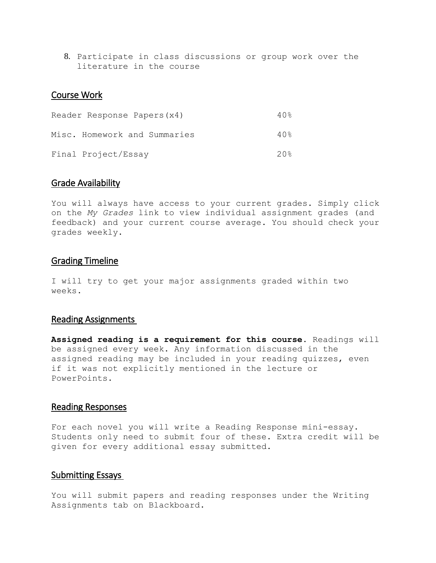8. Participate in class discussions or group work over the literature in the course

#### Course Work

| Reader Response Papers (x4)  | 40 <sub>8</sub> |
|------------------------------|-----------------|
| Misc. Homework and Summaries | 40 <sub>8</sub> |
| Final Project/Essay          | 20%             |

#### Grade Availability

You will always have access to your current grades. Simply click on the *My Grades* link to view individual assignment grades (and feedback) and your current course average. You should check your grades weekly.

#### Grading Timeline

I will try to get your major assignments graded within two weeks.

## Reading Assignments

**Assigned reading is a requirement for this course**. Readings will be assigned every week. Any information discussed in the assigned reading may be included in your reading quizzes, even if it was not explicitly mentioned in the lecture or PowerPoints.

## Reading Responses

For each novel you will write a Reading Response mini-essay. Students only need to submit four of these. Extra credit will be given for every additional essay submitted.

#### Submitting Essays

You will submit papers and reading responses under the Writing Assignments tab on Blackboard.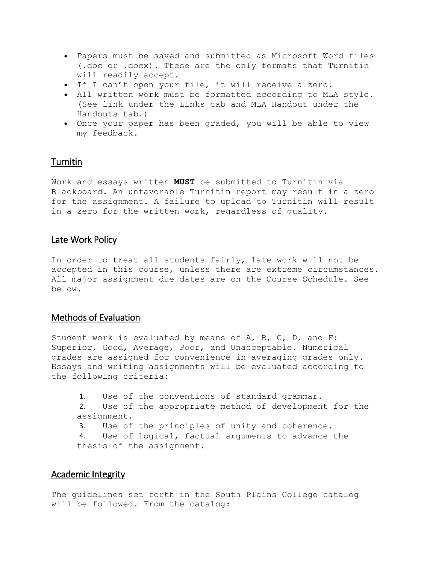- Papers must be saved and submitted as Microsoft Word files (.doc or .docx). These are the only formats that Turnitin will readily accept.
- If I can't open your file, it will receive a zero.
- All written work must be formatted according to MLA style. (See link under the Links tab and MLA Handout under the Handouts tab.)
- Once your paper has been graded, you will be able to view my feedback.

## **Turnitin**

Work and essays written **MUST** be submitted to Turnitin via Blackboard. An unfavorable Turnitin report may result in a zero for the assignment. A failure to upload to Turnitin will result in a zero for the written work, regardless of quality.

## Late Work Policy

In order to treat all students fairly, late work will not be accepted in this course, unless there are extreme circumstances. All major assignment due dates are on the Course Schedule. See below.

## Methods of Evaluation

Student work is evaluated by means of A, B, C, D, and F: Superior, Good, Average, Poor, and Unacceptable. Numerical grades are assigned for convenience in averaging grades only. Essays and writing assignments will be evaluated according to the following criteria:

1. Use of the conventions of standard grammar. 2. Use of the appropriate method of development for the assignment. 3. Use of the principles of unity and coherence. 4. Use of logical, factual arguments to advance the thesis of the assignment.

## Academic Integrity

The guidelines set forth in the South Plains College catalog will be followed. From the catalog: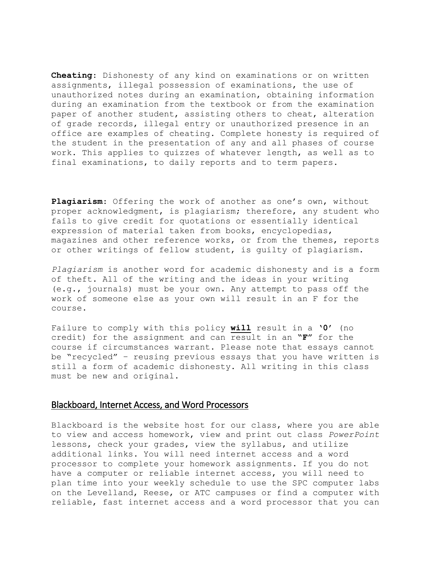**Cheating**: Dishonesty of any kind on examinations or on written assignments, illegal possession of examinations, the use of unauthorized notes during an examination, obtaining information during an examination from the textbook or from the examination paper of another student, assisting others to cheat, alteration of grade records, illegal entry or unauthorized presence in an office are examples of cheating. Complete honesty is required of the student in the presentation of any and all phases of course work. This applies to quizzes of whatever length, as well as to final examinations, to daily reports and to term papers.

**Plagiarism**: Offering the work of another as one's own, without proper acknowledgment, is plagiarism; therefore, any student who fails to give credit for quotations or essentially identical expression of material taken from books, encyclopedias, magazines and other reference works, or from the themes, reports or other writings of fellow student, is guilty of plagiarism.

*Plagiarism* is another word for academic dishonesty and is a form of theft. All of the writing and the ideas in your writing (e.g., journals) must be your own. Any attempt to pass off the work of someone else as your own will result in an F for the course.

Failure to comply with this policy **will** result in a **'0'** (no credit) for the assignment and can result in an **"F"** for the course if circumstances warrant. Please note that essays cannot be "recycled" – reusing previous essays that you have written is still a form of academic dishonesty. All writing in this class must be new and original.

#### Blackboard, Internet Access, and Word Processors

Blackboard is the website host for our class, where you are able to view and access homework, view and print out class *PowerPoint* lessons, check your grades, view the syllabus, and utilize additional links. You will need internet access and a word processor to complete your homework assignments. If you do not have a computer or reliable internet access, you will need to plan time into your weekly schedule to use the SPC computer labs on the Levelland, Reese, or ATC campuses or find a computer with reliable, fast internet access and a word processor that you can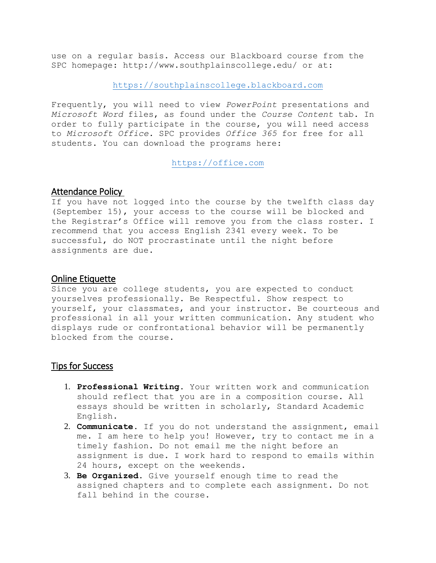use on a regular basis. Access our Blackboard course from the SPC homepage: http://www.southplainscollege.edu/ or at:

[https://southplainscollege.blackboard.com](https://southplainscollege.blackboard.com/)

Frequently, you will need to view *PowerPoint* presentations and *Microsoft Word* files, as found under the *Course Content* tab. In order to fully participate in the course, you will need access to *Microsoft Office.* SPC provides *Office 365* for free for all students. You can download the programs here:

[https://office.com](https://office.com/)

## Attendance Policy

If you have not logged into the course by the twelfth class day (September 15), your access to the course will be blocked and the Registrar's Office will remove you from the class roster. I recommend that you access English 2341 every week. To be successful, do NOT procrastinate until the night before assignments are due.

## Online Etiquette

Since you are college students, you are expected to conduct yourselves professionally. Be Respectful. Show respect to yourself, your classmates, and your instructor. Be courteous and professional in all your written communication. Any student who displays rude or confrontational behavior will be permanently blocked from the course.

## Tips for Success

- 1. **Professional Writing**. Your written work and communication should reflect that you are in a composition course. All essays should be written in scholarly, Standard Academic English.
- 2. **Communicate**. If you do not understand the assignment, email me. I am here to help you! However, try to contact me in a timely fashion. Do not email me the night before an assignment is due. I work hard to respond to emails within 24 hours, except on the weekends.
- 3. **Be Organized**. Give yourself enough time to read the assigned chapters and to complete each assignment. Do not fall behind in the course.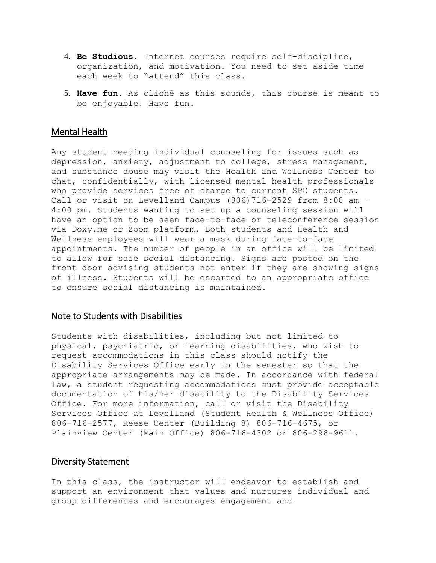- 4. **Be Studious.** Internet courses require self-discipline, organization, and motivation. You need to set aside time each week to "attend" this class.
- 5. **Have fun.** As cliché as this sounds, this course is meant to be enjoyable! Have fun.

#### Mental Health

Any student needing individual counseling for issues such as depression, anxiety, adjustment to college, stress management, and substance abuse may visit the Health and Wellness Center to chat, confidentially, with licensed mental health professionals who provide services free of charge to current SPC students. Call or visit on Levelland Campus  $(806)$  716-2529 from 8:00 am -4:00 pm. Students wanting to set up a counseling session will have an option to be seen face-to-face or teleconference session via Doxy.me or Zoom platform. Both students and Health and Wellness employees will wear a mask during face-to-face appointments. The number of people in an office will be limited to allow for safe social distancing. Signs are posted on the front door advising students not enter if they are showing signs of illness. Students will be escorted to an appropriate office to ensure social distancing is maintained.

#### Note to Students with Disabilities

Students with disabilities, including but not limited to physical, psychiatric, or learning disabilities, who wish to request accommodations in this class should notify the Disability Services Office early in the semester so that the appropriate arrangements may be made. In accordance with federal law, a student requesting accommodations must provide acceptable documentation of his/her disability to the Disability Services Office. For more information, call or visit the Disability Services Office at Levelland (Student Health & Wellness Office) 806-716-2577, Reese Center (Building 8) 806-716-4675, or Plainview Center (Main Office) 806-716-4302 or 806-296-9611.

#### Diversity Statement

In this class, the instructor will endeavor to establish and support an environment that values and nurtures individual and group differences and encourages engagement and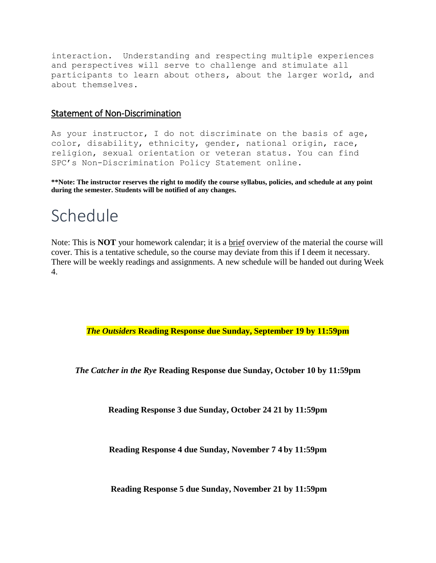interaction. Understanding and respecting multiple experiences and perspectives will serve to challenge and stimulate all participants to learn about others, about the larger world, and about themselves.

## Statement of Non-Discrimination

As your instructor, I do not discriminate on the basis of age, color, disability, ethnicity, gender, national origin, race, religion, sexual orientation or veteran status. You can find SPC's Non-Discrimination Policy Statement online.

**\*\*Note: The instructor reserves the right to modify the course syllabus, policies, and schedule at any point during the semester. Students will be notified of any changes.**

## Schedule

Note: This is **NOT** your homework calendar; it is a brief overview of the material the course will cover. This is a tentative schedule, so the course may deviate from this if I deem it necessary. There will be weekly readings and assignments. A new schedule will be handed out during Week 4.

*The Outsiders* **Reading Response due Sunday, September 19 by 11:59pm**

*The Catcher in the Rye* **Reading Response due Sunday, October 10 by 11:59pm** 

**Reading Response 3 due Sunday, October 24 21 by 11:59pm** 

**Reading Response 4 due Sunday, November 7 4 by 11:59pm**

**Reading Response 5 due Sunday, November 21 by 11:59pm**